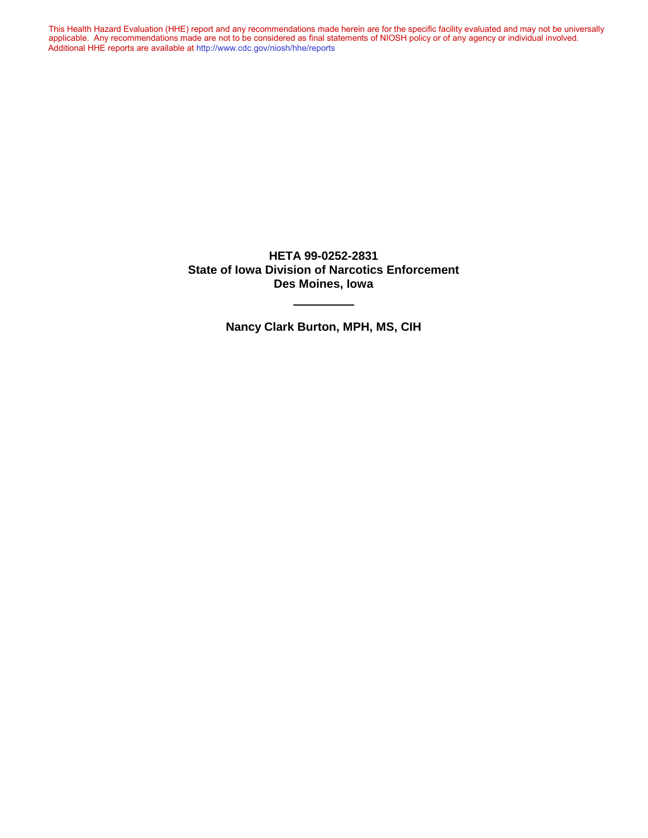This Health Hazard Evaluation (HHE) report and any recommendations made herein are for the specific facility evaluated and may not be universally applicable. Any recommendations made are not to be considered as final statements of NIOSH policy or of any agency or individual involved. Additional HHE reports are available at <http://www.cdc.gov/niosh/hhe/reports> Additional HHE reports are available at <http://www.cdc.gov/niosh/hhe/reports>This Health Hazard Evaluation (HHE) report and any recommendations made herein are for the specific facility evaluated and may not be universally applicable. Any recommendations made are not to be considered as final statements of NIOSH policy or of any agency or individual involved

> **HETA 99-0252-2831 State of Iowa Division of Narcotics Enforcement Des Moines, Iowa**

> > **Nancy Clark Burton, MPH, MS, CIH**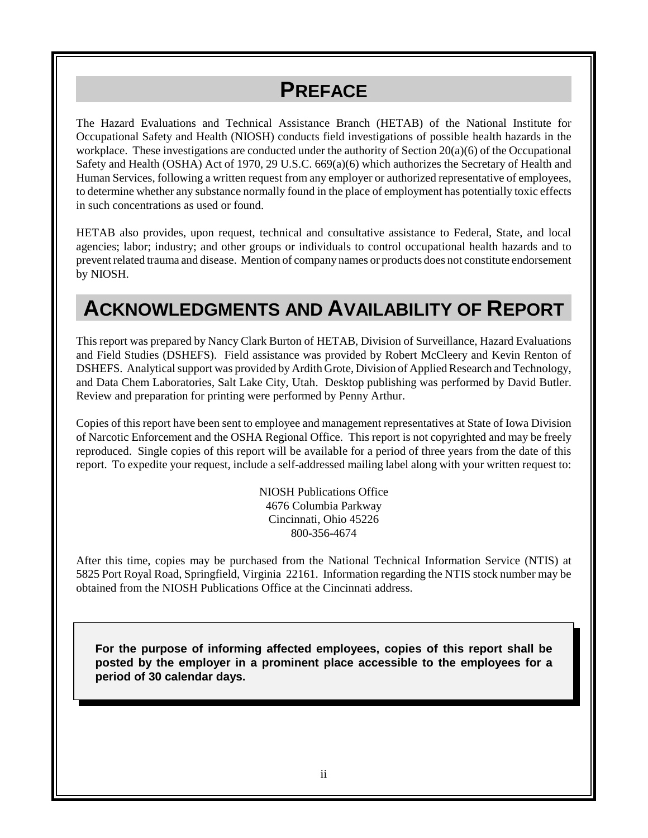# **PREFACE**

The Hazard Evaluations and Technical Assistance Branch (HETAB) of the National Institute for Occupational Safety and Health (NIOSH) conducts field investigations of possible health hazards in the workplace. These investigations are conducted under the authority of Section 20(a)(6) of the Occupational Safety and Health (OSHA) Act of 1970, 29 U.S.C. 669(a)(6) which authorizes the Secretary of Health and Human Services, following a written request from any employer or authorized representative of employees, to determine whether any substance normally found in the place of employment has potentially toxic effects in such concentrations as used or found.

HETAB also provides, upon request, technical and consultative assistance to Federal, State, and local agencies; labor; industry; and other groups or individuals to control occupational health hazards and to prevent related trauma and disease. Mention of company names or products does not constitute endorsement by NIOSH.

# **ACKNOWLEDGMENTS AND AVAILABILITY OF REPORT**

This report was prepared by Nancy Clark Burton of HETAB, Division of Surveillance, Hazard Evaluations and Field Studies (DSHEFS). Field assistance was provided by Robert McCleery and Kevin Renton of DSHEFS. Analytical support was provided by Ardith Grote, Division of Applied Research and Technology, and Data Chem Laboratories, Salt Lake City, Utah. Desktop publishing was performed by David Butler. Review and preparation for printing were performed by Penny Arthur.

Copies of this report have been sent to employee and management representatives at State of Iowa Division of Narcotic Enforcement and the OSHA Regional Office. This report is not copyrighted and may be freely reproduced. Single copies of this report will be available for a period of three years from the date of this report. To expedite your request, include a self-addressed mailing label along with your written request to:

> NIOSH Publications Office 4676 Columbia Parkway Cincinnati, Ohio 45226 800-356-4674

After this time, copies may be purchased from the National Technical Information Service (NTIS) at 5825 Port Royal Road, Springfield, Virginia 22161. Information regarding the NTIS stock number may be obtained from the NIOSH Publications Office at the Cincinnati address.

**For the purpose of informing affected employees, copies of this report shall be posted by the employer in a prominent place accessible to the employees for a period of 30 calendar days.**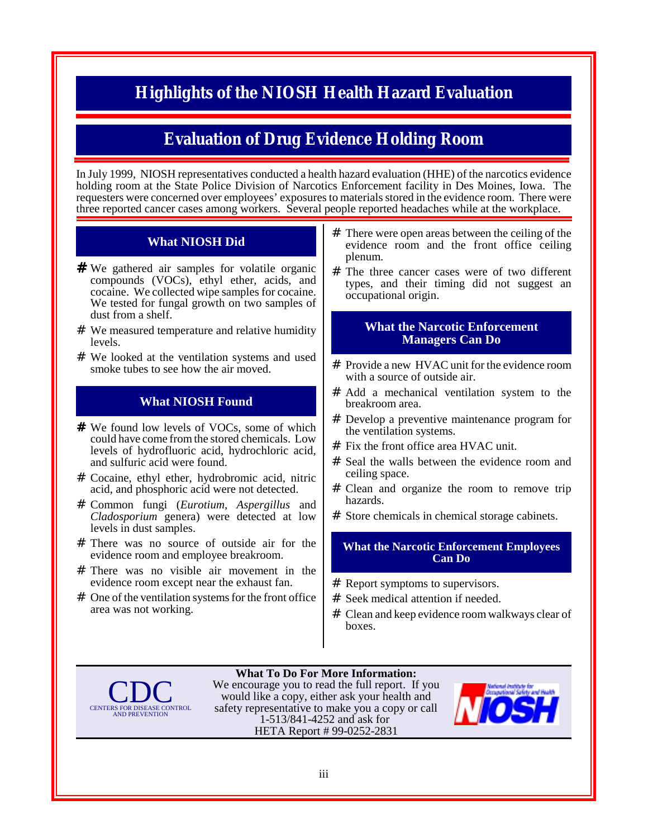### **Highlights of the NIOSH Health Hazard Evaluation**

#### **Evaluation of Drug Evidence Holding Room**

In July 1999, NIOSH representatives conducted a health hazard evaluation (HHE) of the narcotics evidence holding room at the State Police Division of Narcotics Enforcement facility in Des Moines, Iowa. The requesters were concerned over employees' exposures to materials stored in the evidence room. There were three reported cancer cases among workers. Several people reported headaches while at the workplace.

#### **What NIOSH Did**

- # We gathered air samples for volatile organic compounds (VOCs), ethyl ether, acids, and cocaine. We collected wipe samples for cocaine. We tested for fungal growth on two samples of dust from a shelf.
- # We measured temperature and relative humidity levels.
- # We looked at the ventilation systems and used smoke tubes to see how the air moved.

#### **What NIOSH Found**

- # We found low levels of VOCs, some of which could have come from the stored chemicals. Low levels of hydrofluoric acid, hydrochloric acid, and sulfuric acid were found.
- # Cocaine, ethyl ether, hydrobromic acid, nitric acid, and phosphoric acid were not detected.
- # Common fungi (*Eurotium, Aspergillus* and *Cladosporium* genera) were detected at low levels in dust samples.
- # There was no source of outside air for the evidence room and employee breakroom.
- # There was no visible air movement in the evidence room except near the exhaust fan.
- # One of the ventilation systems for the front office area was not working.
- # There were open areas between the ceiling of the evidence room and the front office ceiling plenum.
- # The three cancer cases were of two different types, and their timing did not suggest an occupational origin.

#### **What the Narcotic Enforcement Managers Can Do**

- # Provide a new HVAC unit for the evidence room with a source of outside air.
- # Add a mechanical ventilation system to the breakroom area.
- # Develop a preventive maintenance program for the ventilation systems.
- $#$  Fix the front office area HVAC unit.
- # Seal the walls between the evidence room and ceiling space.
- # Clean and organize the room to remove trip hazards.
- # Store chemicals in chemical storage cabinets.

#### **What the Narcotic Enforcement Employees Can Do**

- # Report symptoms to supervisors.
- # Seek medical attention if needed.
- # Clean and keep evidence room walkways clear of boxes.



**What To Do For More Information:** We encourage you to read the full report. If you would like a copy, either ask your health and safety representative to make you a copy or call 1-513/841-4252 and ask for HETA Report # 99-0252-2831

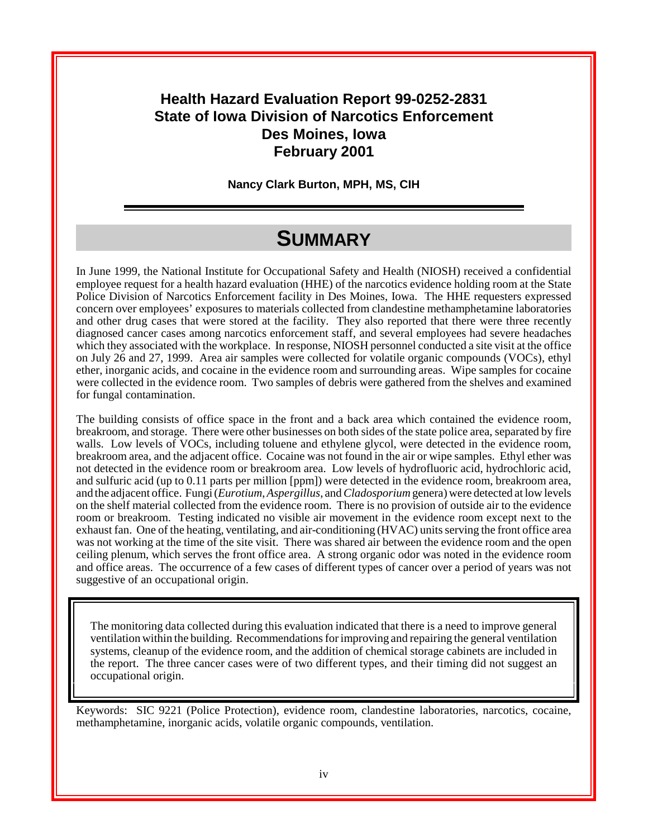#### **Health Hazard Evaluation Report 99-0252-2831 State of Iowa Division of Narcotics Enforcement Des Moines, Iowa February 2001**

**Nancy Clark Burton, MPH, MS, CIH**

## **SUMMARY**

In June 1999, the National Institute for Occupational Safety and Health (NIOSH) received a confidential employee request for a health hazard evaluation (HHE) of the narcotics evidence holding room at the State Police Division of Narcotics Enforcement facility in Des Moines, Iowa. The HHE requesters expressed concern over employees' exposures to materials collected from clandestine methamphetamine laboratories and other drug cases that were stored at the facility. They also reported that there were three recently diagnosed cancer cases among narcotics enforcement staff, and several employees had severe headaches which they associated with the workplace. In response, NIOSH personnel conducted a site visit at the office on July 26 and 27, 1999. Area air samples were collected for volatile organic compounds (VOCs), ethyl ether, inorganic acids, and cocaine in the evidence room and surrounding areas. Wipe samples for cocaine were collected in the evidence room. Two samples of debris were gathered from the shelves and examined for fungal contamination.

The building consists of office space in the front and a back area which contained the evidence room, breakroom, and storage. There were other businesses on both sides of the state police area, separated by fire walls. Low levels of VOCs, including toluene and ethylene glycol, were detected in the evidence room, breakroom area, and the adjacent office. Cocaine was not found in the air or wipe samples. Ethyl ether was not detected in the evidence room or breakroom area. Low levels of hydrofluoric acid, hydrochloric acid, and sulfuric acid (up to 0.11 parts per million [ppm]) were detected in the evidence room, breakroom area, and the adjacent office. Fungi (*Eurotium*, *Aspergillus*, and *Cladosporium* genera) were detected at low levels on the shelf material collected from the evidence room. There is no provision of outside air to the evidence room or breakroom. Testing indicated no visible air movement in the evidence room except next to the exhaust fan. One of the heating, ventilating, and air-conditioning (HVAC) units serving the front office area was not working at the time of the site visit. There was shared air between the evidence room and the open ceiling plenum, which serves the front office area. A strong organic odor was noted in the evidence room and office areas. The occurrence of a few cases of different types of cancer over a period of years was not suggestive of an occupational origin.

The monitoring data collected during this evaluation indicated that there is a need to improve general ventilation within the building. Recommendations for improving and repairing the general ventilation systems, cleanup of the evidence room, and the addition of chemical storage cabinets are included in the report. The three cancer cases were of two different types, and their timing did not suggest an occupational origin.

Keywords: SIC 9221 (Police Protection), evidence room, clandestine laboratories, narcotics, cocaine, methamphetamine, inorganic acids, volatile organic compounds, ventilation.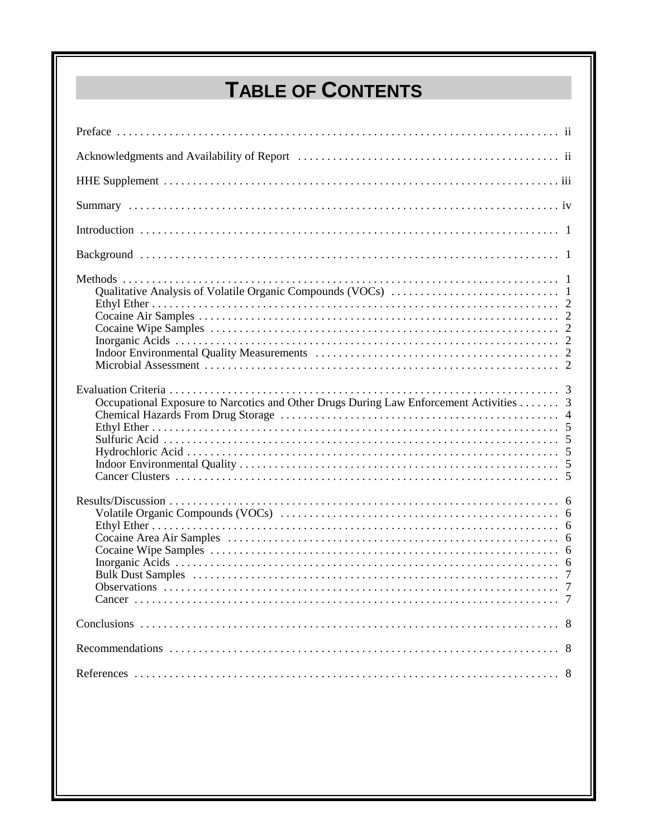# **TABLE OF CONTENTS**

| Occupational Exposure to Narcotics and Other Drugs During Law Enforcement Activities 3 |  |
|----------------------------------------------------------------------------------------|--|
| Cancer.                                                                                |  |
|                                                                                        |  |
|                                                                                        |  |
|                                                                                        |  |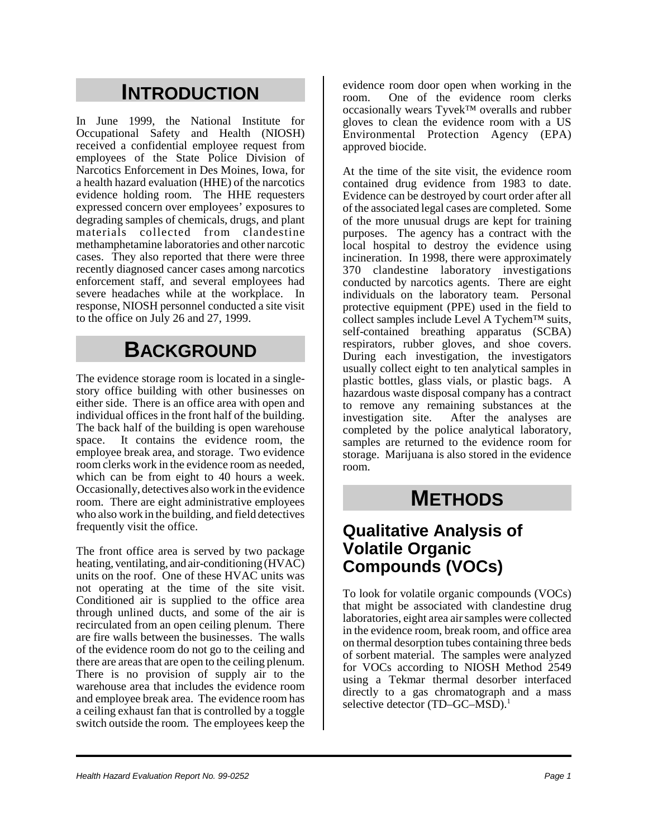# **INTRODUCTION**

In June 1999, the National Institute for Occupational Safety and Health (NIOSH) received a confidential employee request from employees of the State Police Division of Narcotics Enforcement in Des Moines, Iowa, for a health hazard evaluation (HHE) of the narcotics evidence holding room. The HHE requesters expressed concern over employees' exposures to degrading samples of chemicals, drugs, and plant materials collected from clandestine methamphetamine laboratories and other narcotic cases. They also reported that there were three recently diagnosed cancer cases among narcotics enforcement staff, and several employees had severe headaches while at the workplace. In response, NIOSH personnel conducted a site visit to the office on July 26 and 27, 1999.

# **BACKGROUND**

The evidence storage room is located in a singlestory office building with other businesses on either side. There is an office area with open and individual offices in the front half of the building. The back half of the building is open warehouse space. It contains the evidence room, the employee break area, and storage. Two evidence room clerks work in the evidence room as needed, which can be from eight to 40 hours a week. Occasionally, detectives also work in the evidence room. There are eight administrative employees who also work in the building, and field detectives frequently visit the office.

The front office area is served by two package heating, ventilating, and air-conditioning (HVAC) units on the roof. One of these HVAC units was not operating at the time of the site visit. Conditioned air is supplied to the office area through unlined ducts, and some of the air is recirculated from an open ceiling plenum. There are fire walls between the businesses. The walls of the evidence room do not go to the ceiling and there are areas that are open to the ceiling plenum. There is no provision of supply air to the warehouse area that includes the evidence room and employee break area. The evidence room has a ceiling exhaust fan that is controlled by a toggle switch outside the room. The employees keep the

evidence room door open when working in the room. One of the evidence room clerks occasionally wears Tyvek™ overalls and rubber gloves to clean the evidence room with a US Environmental Protection Agency (EPA) approved biocide.

At the time of the site visit, the evidence room contained drug evidence from 1983 to date. Evidence can be destroyed by court order after all of the associated legal cases are completed. Some of the more unusual drugs are kept for training purposes. The agency has a contract with the local hospital to destroy the evidence using incineration. In 1998, there were approximately 370 clandestine laboratory investigations conducted by narcotics agents. There are eight individuals on the laboratory team. Personal protective equipment (PPE) used in the field to collect samples include Level A Tychem™ suits, self-contained breathing apparatus (SCBA) respirators, rubber gloves, and shoe covers. During each investigation, the investigators usually collect eight to ten analytical samples in plastic bottles, glass vials, or plastic bags. A hazardous waste disposal company has a contract to remove any remaining substances at the investigation site. After the analyses are completed by the police analytical laboratory, samples are returned to the evidence room for storage. Marijuana is also stored in the evidence room.

## **METHODS**

#### **Qualitative Analysis of Volatile Organic Compounds (VOCs)**

To look for volatile organic compounds (VOCs) that might be associated with clandestine drug laboratories, eight area air samples were collected in the evidence room, break room, and office area on thermal desorption tubes containing three beds of sorbent material. The samples were analyzed for VOCs according to NIOSH Method 2549 using a Tekmar thermal desorber interfaced directly to a gas chromatograph and a mass selective detector (TD–GC–MSD).<sup>1</sup>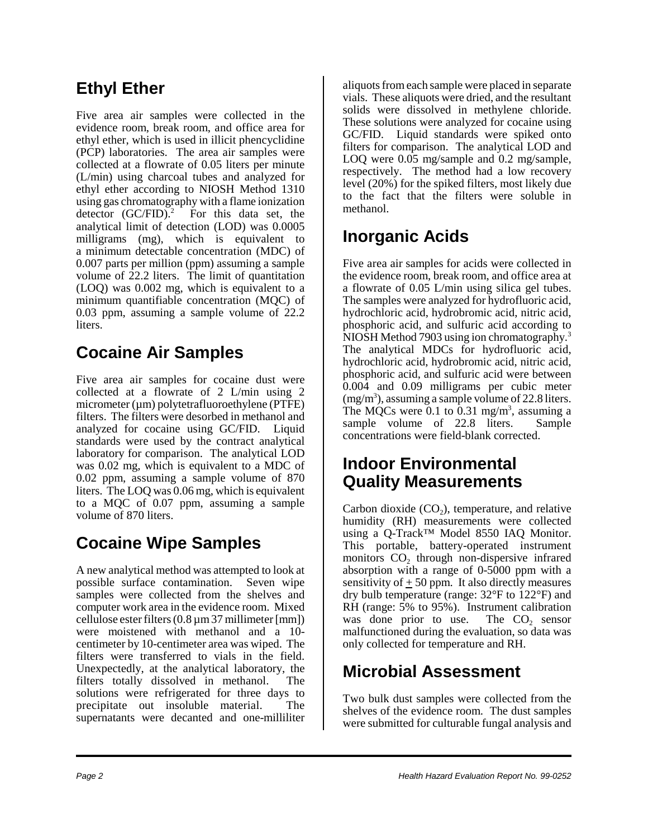## **Ethyl Ether**

Five area air samples were collected in the evidence room, break room, and office area for ethyl ether, which is used in illicit phencyclidine (PCP) laboratories. The area air samples were collected at a flowrate of 0.05 liters per minute (L/min) using charcoal tubes and analyzed for ethyl ether according to NIOSH Method 1310 using gas chromatography with a flame ionization detector  $(GC/FID)^2$  For this data set, the analytical limit of detection (LOD) was 0.0005 milligrams (mg), which is equivalent to a minimum detectable concentration (MDC) of 0.007 parts per million (ppm) assuming a sample volume of 22.2 liters. The limit of quantitation (LOQ) was 0.002 mg, which is equivalent to a minimum quantifiable concentration (MQC) of 0.03 ppm, assuming a sample volume of 22.2 liters.

## **Cocaine Air Samples**

Five area air samples for cocaine dust were collected at a flowrate of 2 L/min using 2 micrometer  $(\mu m)$  polytetrafluoroethylene (PTFE) filters. The filters were desorbed in methanol and analyzed for cocaine using GC/FID. Liquid standards were used by the contract analytical laboratory for comparison. The analytical LOD was 0.02 mg, which is equivalent to a MDC of 0.02 ppm, assuming a sample volume of 870 liters. The LOQ was 0.06 mg, which is equivalent to a MQC of 0.07 ppm, assuming a sample volume of 870 liters.

### **Cocaine Wipe Samples**

A new analytical method was attempted to look at possible surface contamination. Seven wipe samples were collected from the shelves and computer work area in the evidence room. Mixed cellulose ester filters (0.8 µm 37 millimeter [mm]) were moistened with methanol and a 10 centimeter by 10-centimeter area was wiped. The filters were transferred to vials in the field. Unexpectedly, at the analytical laboratory, the filters totally dissolved in methanol. The solutions were refrigerated for three days to precipitate out insoluble material. The supernatants were decanted and one-milliliter

aliquots from each sample were placed in separate vials. These aliquots were dried, and the resultant solids were dissolved in methylene chloride. These solutions were analyzed for cocaine using GC/FID. Liquid standards were spiked onto filters for comparison. The analytical LOD and LOO were 0.05 mg/sample and 0.2 mg/sample, respectively. The method had a low recovery level (20%) for the spiked filters, most likely due to the fact that the filters were soluble in methanol.

### **Inorganic Acids**

Five area air samples for acids were collected in the evidence room, break room, and office area at a flowrate of 0.05 L/min using silica gel tubes. The samples were analyzed for hydrofluoric acid, hydrochloric acid, hydrobromic acid, nitric acid, phosphoric acid, and sulfuric acid according to NIOSH Method 7903 using ion chromatography.<sup>3</sup> The analytical MDCs for hydrofluoric acid, hydrochloric acid, hydrobromic acid, nitric acid, phosphoric acid, and sulfuric acid were between 0.004 and 0.09 milligrams per cubic meter  $(mg/m<sup>3</sup>)$ , assuming a sample volume of 22.8 liters. The MQCs were 0.1 to  $\overline{0.31}$  mg/m<sup>3</sup>, assuming a sample volume of 22.8 liters. Sample concentrations were field-blank corrected.

#### **Indoor Environmental Quality Measurements**

Carbon dioxide  $(CO<sub>2</sub>)$ , temperature, and relative humidity (RH) measurements were collected using a Q-Track™ Model 8550 IAQ Monitor. This portable, battery-operated instrument monitors  $CO<sub>2</sub>$  through non-dispersive infrared absorption with a range of 0-5000 ppm with a sensitivity of  $+50$  ppm. It also directly measures dry bulb temperature (range: 32°F to 122°F) and RH (range: 5% to 95%). Instrument calibration was done prior to use. The  $CO<sub>2</sub>$  sensor malfunctioned during the evaluation, so data was only collected for temperature and RH.

### **Microbial Assessment**

Two bulk dust samples were collected from the shelves of the evidence room. The dust samples were submitted for culturable fungal analysis and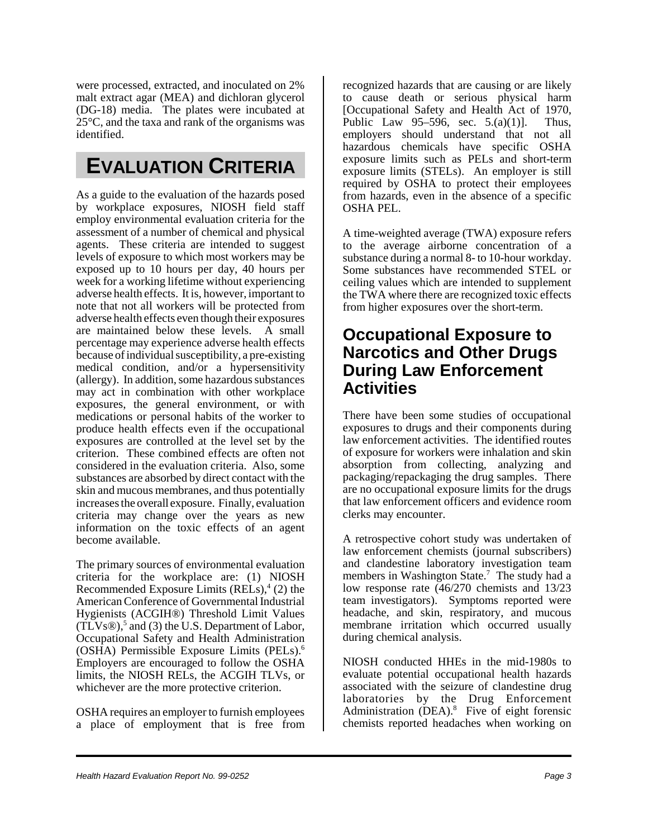were processed, extracted, and inoculated on 2% malt extract agar (MEA) and dichloran glycerol (DG-18) media. The plates were incubated at 25°C, and the taxa and rank of the organisms was identified.

## **EVALUATION CRITERIA**

As a guide to the evaluation of the hazards posed by workplace exposures, NIOSH field staff employ environmental evaluation criteria for the assessment of a number of chemical and physical agents. These criteria are intended to suggest levels of exposure to which most workers may be exposed up to 10 hours per day, 40 hours per week for a working lifetime without experiencing adverse health effects. It is, however, important to note that not all workers will be protected from adverse health effects even though their exposures are maintained below these levels. A small percentage may experience adverse health effects because of individual susceptibility, a pre-existing medical condition, and/or a hypersensitivity (allergy). In addition, some hazardous substances may act in combination with other workplace exposures, the general environment, or with medications or personal habits of the worker to produce health effects even if the occupational exposures are controlled at the level set by the criterion. These combined effects are often not considered in the evaluation criteria. Also, some substances are absorbed by direct contact with the skin and mucous membranes, and thus potentially increases the overall exposure. Finally, evaluation criteria may change over the years as new information on the toxic effects of an agent become available.

The primary sources of environmental evaluation criteria for the workplace are: (1) NIOSH Recommended Exposure Limits (RELs),<sup>4</sup> (2) the American Conference of Governmental Industrial Hygienists (ACGIH®) Threshold Limit Values  $(TLVs@),$ <sup>5</sup> and (3) the U.S. Department of Labor, Occupational Safety and Health Administration (OSHA) Permissible Exposure Limits (PELs).6 Employers are encouraged to follow the OSHA limits, the NIOSH RELs, the ACGIH TLVs, or whichever are the more protective criterion.

OSHA requires an employer to furnish employees a place of employment that is free from recognized hazards that are causing or are likely to cause death or serious physical harm [Occupational Safety and Health Act of 1970, Public Law 95–596, sec.  $5.(a)(1)$ ]. Thus, employers should understand that not all hazardous chemicals have specific OSHA exposure limits such as PELs and short-term exposure limits (STELs). An employer is still required by OSHA to protect their employees from hazards, even in the absence of a specific OSHA PEL.

A time-weighted average (TWA) exposure refers to the average airborne concentration of a substance during a normal 8- to 10-hour workday. Some substances have recommended STEL or ceiling values which are intended to supplement the TWA where there are recognized toxic effects from higher exposures over the short-term.

#### **Occupational Exposure to Narcotics and Other Drugs During Law Enforcement Activities**

There have been some studies of occupational exposures to drugs and their components during law enforcement activities. The identified routes of exposure for workers were inhalation and skin absorption from collecting, analyzing and packaging/repackaging the drug samples. There are no occupational exposure limits for the drugs that law enforcement officers and evidence room clerks may encounter.

A retrospective cohort study was undertaken of law enforcement chemists (journal subscribers) and clandestine laboratory investigation team members in Washington State.<sup>7</sup> The study had a low response rate (46/270 chemists and 13/23 team investigators). Symptoms reported were headache, and skin, respiratory, and mucous membrane irritation which occurred usually during chemical analysis.

NIOSH conducted HHEs in the mid-1980s to evaluate potential occupational health hazards associated with the seizure of clandestine drug laboratories by the Drug Enforcement Administration (DEA).<sup>8</sup> Five of eight forensic chemists reported headaches when working on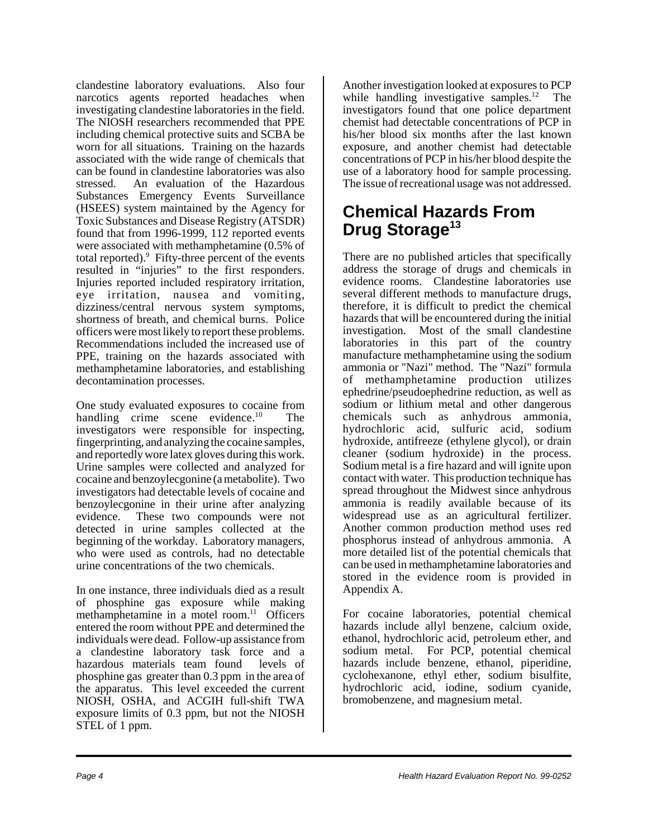clandestine laboratory evaluations. Also four narcotics agents reported headaches when investigating clandestine laboratories in the field. The NIOSH researchers recommended that PPE including chemical protective suits and SCBA be worn for all situations. Training on the hazards associated with the wide range of chemicals that can be found in clandestine laboratories was also stressed. An evaluation of the Hazardous Substances Emergency Events Surveillance (HSEES) system maintained by the Agency for Toxic Substances and Disease Registry (ATSDR) found that from 1996-1999, 112 reported events were associated with methamphetamine (0.5% of total reported).<sup>9</sup> Fifty-three percent of the events resulted in "injuries" to the first responders. Injuries reported included respiratory irritation, eye irritation, nausea and vomiting, dizziness/central nervous system symptoms, shortness of breath, and chemical burns. Police officers were most likely to report these problems. Recommendations included the increased use of PPE, training on the hazards associated with methamphetamine laboratories, and establishing decontamination processes.

One study evaluated exposures to cocaine from handling crime scene evidence.<sup>10</sup> The investigators were responsible for inspecting, fingerprinting, and analyzing the cocaine samples, and reportedly wore latex gloves during this work. Urine samples were collected and analyzed for cocaine and benzoylecgonine (a metabolite). Two investigators had detectable levels of cocaine and benzoylecgonine in their urine after analyzing evidence. These two compounds were not detected in urine samples collected at the beginning of the workday. Laboratory managers, who were used as controls, had no detectable urine concentrations of the two chemicals.

In one instance, three individuals died as a result of phosphine gas exposure while making methamphetamine in a motel room.<sup>11</sup> Officers entered the room without PPE and determined the individuals were dead. Follow-up assistance from a clandestine laboratory task force and a hazardous materials team found levels of phosphine gas greater than 0.3 ppm in the area of the apparatus. This level exceeded the current NIOSH, OSHA, and ACGIH full-shift TWA exposure limits of 0.3 ppm, but not the NIOSH STEL of 1 ppm.

Another investigation looked at exposures to PCP while handling investigative samples.<sup>12</sup> The investigators found that one police department chemist had detectable concentrations of PCP in his/her blood six months after the last known exposure, and another chemist had detectable concentrations of PCP in his/her blood despite the use of a laboratory hood for sample processing. The issue of recreational usage was not addressed.

#### **Chemical Hazards From Drug Storage<sup>13</sup>**

There are no published articles that specifically address the storage of drugs and chemicals in evidence rooms. Clandestine laboratories use several different methods to manufacture drugs, therefore, it is difficult to predict the chemical hazards that will be encountered during the initial investigation. Most of the small clandestine laboratories in this part of the country manufacture methamphetamine using the sodium ammonia or "Nazi" method. The "Nazi" formula of methamphetamine production utilizes ephedrine/pseudoephedrine reduction, as well as sodium or lithium metal and other dangerous chemicals such as anhydrous ammonia, hydrochloric acid, sulfuric acid, sodium hydroxide, antifreeze (ethylene glycol), or drain cleaner (sodium hydroxide) in the process. Sodium metal is a fire hazard and will ignite upon contact with water. This production technique has spread throughout the Midwest since anhydrous ammonia is readily available because of its widespread use as an agricultural fertilizer. Another common production method uses red phosphorus instead of anhydrous ammonia. A more detailed list of the potential chemicals that can be used in methamphetamine laboratories and stored in the evidence room is provided in Appendix A.

For cocaine laboratories, potential chemical hazards include allyl benzene, calcium oxide, ethanol, hydrochloric acid, petroleum ether, and sodium metal. For PCP, potential chemical hazards include benzene, ethanol, piperidine, cyclohexanone, ethyl ether, sodium bisulfite, hydrochloric acid, iodine, sodium cyanide, bromobenzene, and magnesium metal.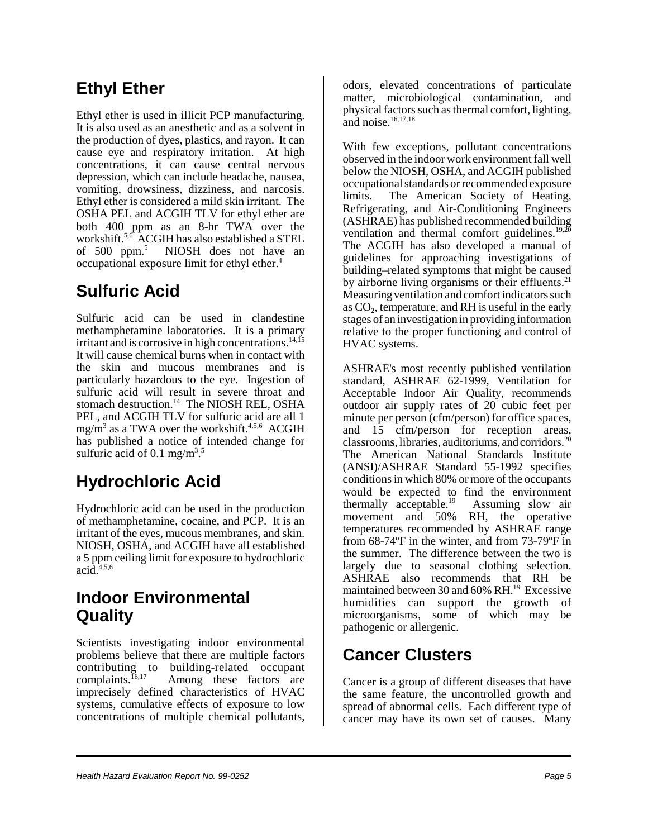### **Ethyl Ether**

Ethyl ether is used in illicit PCP manufacturing. It is also used as an anesthetic and as a solvent in the production of dyes, plastics, and rayon. It can cause eye and respiratory irritation. At high concentrations, it can cause central nervous depression, which can include headache, nausea, vomiting, drowsiness, dizziness, and narcosis. Ethyl ether is considered a mild skin irritant. The OSHA PEL and ACGIH TLV for ethyl ether are both 400 ppm as an 8-hr TWA over the workshift.5,6 ACGIH has also established a STEL of 500 ppm.5 NIOSH does not have an occupational exposure limit for ethyl ether.4

## **Sulfuric Acid**

Sulfuric acid can be used in clandestine methamphetamine laboratories. It is a primary irritant and is corrosive in high concentrations.<sup>14,15</sup> It will cause chemical burns when in contact with the skin and mucous membranes and is particularly hazardous to the eye. Ingestion of sulfuric acid will result in severe throat and stomach destruction.<sup>14</sup> The NIOSH REL, OSHA PEL, and ACGIH TLV for sulfuric acid are all 1 mg/m<sup>3</sup> as a TWA over the workshift.<sup>4,5,6</sup> ACGIH has published a notice of intended change for sulfuric acid of 0.1 mg/m<sup>3.5</sup>

## **Hydrochloric Acid**

Hydrochloric acid can be used in the production of methamphetamine, cocaine, and PCP. It is an irritant of the eyes, mucous membranes, and skin. NIOSH, OSHA, and ACGIH have all established a 5 ppm ceiling limit for exposure to hydrochloric  $acid.<sup>4,5,6</sup>$ 

#### **Indoor Environmental Quality**

Scientists investigating indoor environmental problems believe that there are multiple factors contributing to building-related occupant<br>complaints.<sup>16,17</sup> Among these factors are Among these factors are imprecisely defined characteristics of HVAC systems, cumulative effects of exposure to low concentrations of multiple chemical pollutants,

odors, elevated concentrations of particulate matter, microbiological contamination, and physical factors such as thermal comfort, lighting, and noise.<sup>16,17,18</sup>

With few exceptions, pollutant concentrations observed in the indoor work environment fall well below the NIOSH, OSHA, and ACGIH published occupational standards or recommended exposure limits. The American Society of Heating, Refrigerating, and Air-Conditioning Engineers (ASHRAE) has published recommended building ventilation and thermal comfort guidelines. $19,20$ The ACGIH has also developed a manual of guidelines for approaching investigations of building–related symptoms that might be caused by airborne living organisms or their effluents. $2<sup>1</sup>$ Measuring ventilation and comfort indicators such as  $CO<sub>2</sub>$ , temperature, and RH is useful in the early stages of an investigation in providing information relative to the proper functioning and control of HVAC systems.

ASHRAE's most recently published ventilation standard, ASHRAE 62-1999, Ventilation for Acceptable Indoor Air Quality, recommends outdoor air supply rates of 20 cubic feet per minute per person (cfm/person) for office spaces, and 15 cfm/person for reception areas, classrooms, libraries, auditoriums, and corridors.20 The American National Standards Institute (ANSI)/ASHRAE Standard 55-1992 specifies conditions in which 80% or more of the occupants would be expected to find the environment thermally acceptable.<sup>19</sup> Assuming slow air movement and 50% RH, the operative temperatures recommended by ASHRAE range from  $68-74$ °F in the winter, and from  $73-79$ °F in the summer. The difference between the two is largely due to seasonal clothing selection. ASHRAE also recommends that RH be maintained between 30 and 60% RH.<sup>19</sup> Excessive humidities can support the growth of microorganisms, some of which may be pathogenic or allergenic.

### **Cancer Clusters**

Cancer is a group of different diseases that have the same feature, the uncontrolled growth and spread of abnormal cells. Each different type of cancer may have its own set of causes. Many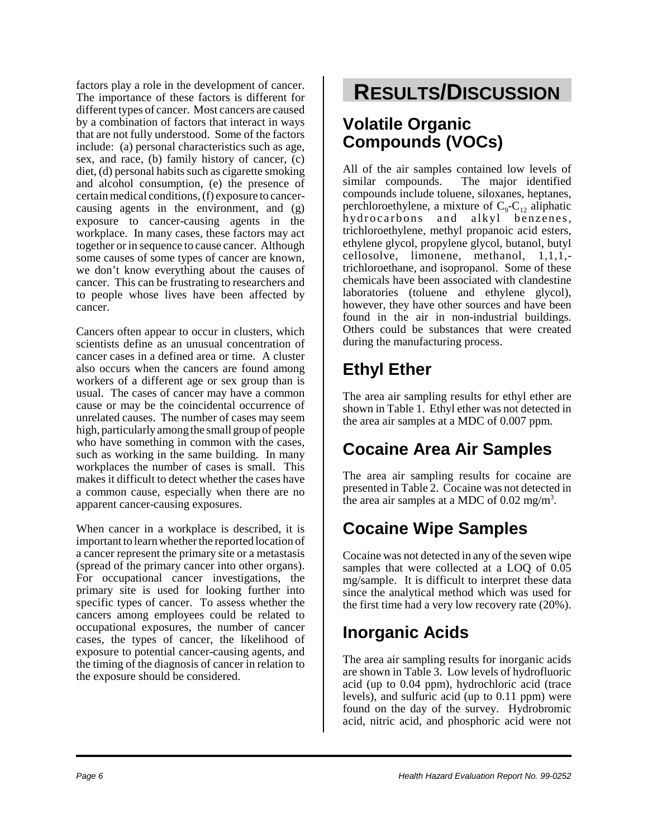factors play a role in the development of cancer. The importance of these factors is different for different types of cancer. Most cancers are caused by a combination of factors that interact in ways that are not fully understood. Some of the factors include: (a) personal characteristics such as age, sex, and race, (b) family history of cancer, (c) diet, (d) personal habits such as cigarette smoking and alcohol consumption, (e) the presence of certain medical conditions, (f) exposure to cancercausing agents in the environment, and (g) exposure to cancer-causing agents in the workplace. In many cases, these factors may act together or in sequence to cause cancer. Although some causes of some types of cancer are known, we don't know everything about the causes of cancer. This can be frustrating to researchers and to people whose lives have been affected by cancer.

Cancers often appear to occur in clusters, which scientists define as an unusual concentration of cancer cases in a defined area or time. A cluster also occurs when the cancers are found among workers of a different age or sex group than is usual. The cases of cancer may have a common cause or may be the coincidental occurrence of unrelated causes. The number of cases may seem high, particularly among the small group of people who have something in common with the cases, such as working in the same building. In many workplaces the number of cases is small. This makes it difficult to detect whether the cases have a common cause, especially when there are no apparent cancer-causing exposures.

When cancer in a workplace is described, it is important to learn whether the reported location of a cancer represent the primary site or a metastasis (spread of the primary cancer into other organs). For occupational cancer investigations, the primary site is used for looking further into specific types of cancer. To assess whether the cancers among employees could be related to occupational exposures, the number of cancer cases, the types of cancer, the likelihood of exposure to potential cancer-causing agents, and the timing of the diagnosis of cancer in relation to the exposure should be considered.

# **RESULTS/DISCUSSION**

#### **Volatile Organic Compounds (VOCs)**

All of the air samples contained low levels of similar compounds. The major identified compounds include toluene, siloxanes, heptanes, perchloroethylene, a mixture of  $C_9$ - $C_{12}$  aliphatic hydrocarbons and alkyl benzenes, trichloroethylene, methyl propanoic acid esters, ethylene glycol, propylene glycol, butanol, butyl cellosolve, limonene, methanol, 1,1,1, trichloroethane, and isopropanol. Some of these chemicals have been associated with clandestine laboratories (toluene and ethylene glycol), however, they have other sources and have been found in the air in non-industrial buildings. Others could be substances that were created during the manufacturing process.

# **Ethyl Ether**

The area air sampling results for ethyl ether are shown in Table 1. Ethyl ether was not detected in the area air samples at a MDC of 0.007 ppm.

# **Cocaine Area Air Samples**

The area air sampling results for cocaine are presented in Table 2. Cocaine was not detected in the area air samples at a MDC of  $0.02$  mg/m<sup>3</sup>.

# **Cocaine Wipe Samples**

Cocaine was not detected in any of the seven wipe samples that were collected at a LOQ of  $0.05$ mg/sample. It is difficult to interpret these data since the analytical method which was used for the first time had a very low recovery rate (20%).

## **Inorganic Acids**

The area air sampling results for inorganic acids are shown in Table 3. Low levels of hydrofluoric acid (up to 0.04 ppm), hydrochloric acid (trace levels), and sulfuric acid (up to 0.11 ppm) were found on the day of the survey. Hydrobromic acid, nitric acid, and phosphoric acid were not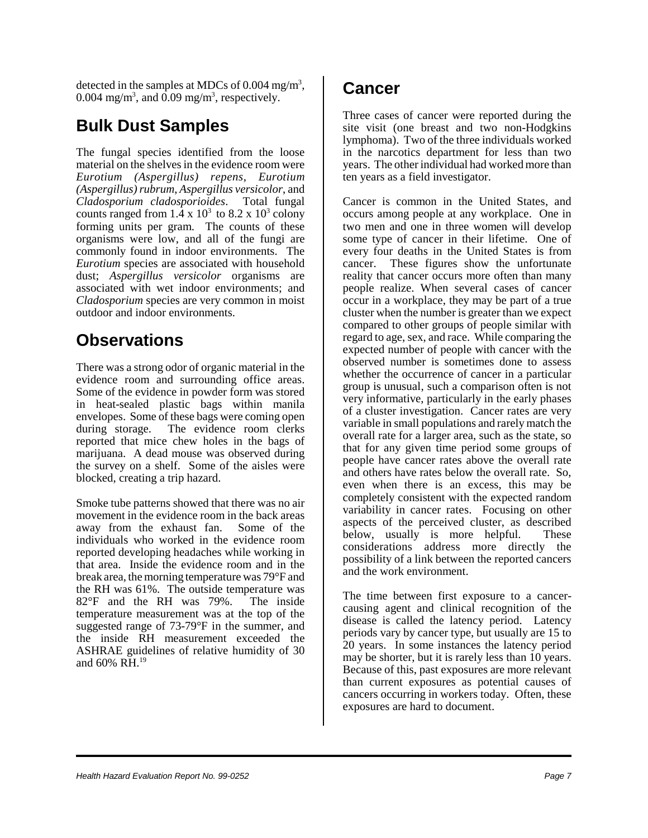detected in the samples at MDCs of  $0.004$  mg/m<sup>3</sup>, 0.004 mg/m<sup>3</sup>, and  $\overline{0.09}$  mg/m<sup>3</sup>, respectively.

#### **Bulk Dust Samples**

The fungal species identified from the loose material on the shelves in the evidence room were *Eurotium (Aspergillus) repens*, *Eurotium (Aspergillus) rubrum*, *Aspergillus versicolor*, and *Cladosporium cladosporioides*. Total fungal counts ranged from  $1.\overline{4} \times 10^3$  to  $8.2 \times 10^3$  colony forming units per gram. The counts of these organisms were low, and all of the fungi are commonly found in indoor environments. The *Eurotium* species are associated with household dust; *Aspergillus versicolor* organisms are associated with wet indoor environments; and *Cladosporium* species are very common in moist outdoor and indoor environments.

#### **Observations**

There was a strong odor of organic material in the evidence room and surrounding office areas. Some of the evidence in powder form was stored in heat-sealed plastic bags within manila envelopes. Some of these bags were coming open during storage. The evidence room clerks reported that mice chew holes in the bags of marijuana. A dead mouse was observed during the survey on a shelf. Some of the aisles were blocked, creating a trip hazard.

Smoke tube patterns showed that there was no air movement in the evidence room in the back areas away from the exhaust fan. Some of the individuals who worked in the evidence room reported developing headaches while working in that area. Inside the evidence room and in the break area, the morning temperature was 79°F and the RH was 61%. The outside temperature was 82°F and the RH was 79%. The inside temperature measurement was at the top of the suggested range of 73-79°F in the summer, and the inside RH measurement exceeded the ASHRAE guidelines of relative humidity of 30 and  $60\%$  RH.<sup>19</sup>

#### **Cancer**

Three cases of cancer were reported during the site visit (one breast and two non-Hodgkins lymphoma). Two of the three individuals worked in the narcotics department for less than two years. The other individual had worked more than ten years as a field investigator.

Cancer is common in the United States, and occurs among people at any workplace. One in two men and one in three women will develop some type of cancer in their lifetime. One of every four deaths in the United States is from cancer. These figures show the unfortunate reality that cancer occurs more often than many people realize. When several cases of cancer occur in a workplace, they may be part of a true cluster when the number is greater than we expect compared to other groups of people similar with regard to age, sex, and race. While comparing the expected number of people with cancer with the observed number is sometimes done to assess whether the occurrence of cancer in a particular group is unusual, such a comparison often is not very informative, particularly in the early phases of a cluster investigation. Cancer rates are very variable in small populations and rarely match the overall rate for a larger area, such as the state, so that for any given time period some groups of people have cancer rates above the overall rate and others have rates below the overall rate. So, even when there is an excess, this may be completely consistent with the expected random variability in cancer rates. Focusing on other aspects of the perceived cluster, as described below, usually is more helpful. These considerations address more directly the possibility of a link between the reported cancers and the work environment.

The time between first exposure to a cancercausing agent and clinical recognition of the disease is called the latency period. Latency periods vary by cancer type, but usually are 15 to 20 years. In some instances the latency period may be shorter, but it is rarely less than 10 years. Because of this, past exposures are more relevant than current exposures as potential causes of cancers occurring in workers today. Often, these exposures are hard to document.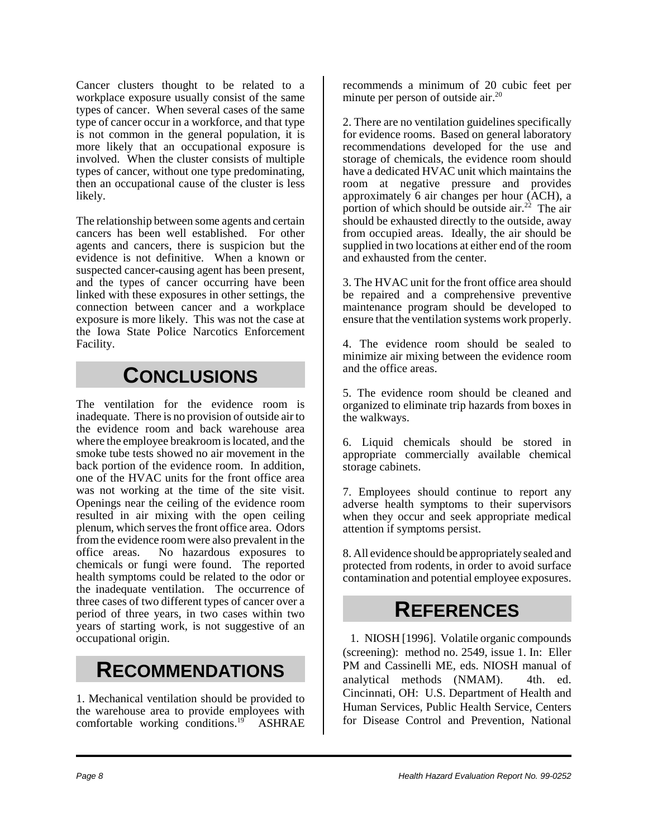Cancer clusters thought to be related to a workplace exposure usually consist of the same types of cancer. When several cases of the same type of cancer occur in a workforce, and that type is not common in the general population, it is more likely that an occupational exposure is involved. When the cluster consists of multiple types of cancer, without one type predominating, then an occupational cause of the cluster is less likely.

The relationship between some agents and certain cancers has been well established. For other agents and cancers, there is suspicion but the evidence is not definitive. When a known or suspected cancer-causing agent has been present, and the types of cancer occurring have been linked with these exposures in other settings, the connection between cancer and a workplace exposure is more likely. This was not the case at the Iowa State Police Narcotics Enforcement Facility.

### **CONCLUSIONS**

The ventilation for the evidence room is inadequate. There is no provision of outside air to the evidence room and back warehouse area where the employee breakroom is located, and the smoke tube tests showed no air movement in the back portion of the evidence room. In addition, one of the HVAC units for the front office area was not working at the time of the site visit. Openings near the ceiling of the evidence room resulted in air mixing with the open ceiling plenum, which serves the front office area. Odors from the evidence room were also prevalent in the office areas. No hazardous exposures to chemicals or fungi were found. The reported health symptoms could be related to the odor or the inadequate ventilation. The occurrence of three cases of two different types of cancer over a period of three years, in two cases within two years of starting work, is not suggestive of an occupational origin.

### **RECOMMENDATIONS**

1. Mechanical ventilation should be provided to the warehouse area to provide employees with comfortable working conditions.<sup>19</sup> ASHRAE

recommends a minimum of 20 cubic feet per minute per person of outside  $air^{20}$ 

2. There are no ventilation guidelines specifically for evidence rooms. Based on general laboratory recommendations developed for the use and storage of chemicals, the evidence room should have a dedicated HVAC unit which maintains the room at negative pressure and provides approximately 6 air changes per hour (ACH), a portion of which should be outside air.<sup>22</sup> The air should be exhausted directly to the outside, away from occupied areas. Ideally, the air should be supplied in two locations at either end of the room and exhausted from the center.

3. The HVAC unit for the front office area should be repaired and a comprehensive preventive maintenance program should be developed to ensure that the ventilation systems work properly.

4. The evidence room should be sealed to minimize air mixing between the evidence room and the office areas.

5. The evidence room should be cleaned and organized to eliminate trip hazards from boxes in the walkways.

6. Liquid chemicals should be stored in appropriate commercially available chemical storage cabinets.

7. Employees should continue to report any adverse health symptoms to their supervisors when they occur and seek appropriate medical attention if symptoms persist.

8. All evidence should be appropriately sealed and protected from rodents, in order to avoid surface contamination and potential employee exposures.

### **REFERENCES**

1. NIOSH [1996]. Volatile organic compounds (screening): method no. 2549, issue 1. In: Eller PM and Cassinelli ME, eds. NIOSH manual of analytical methods (NMAM). 4th. ed. Cincinnati, OH: U.S. Department of Health and Human Services, Public Health Service, Centers for Disease Control and Prevention, National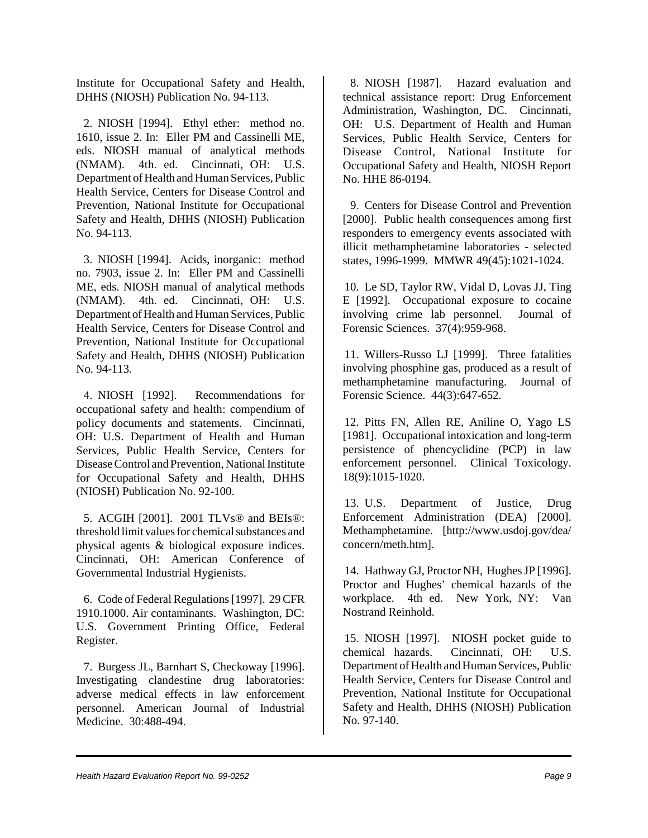Institute for Occupational Safety and Health, DHHS (NIOSH) Publication No. 94-113.

2. NIOSH [1994]. Ethyl ether: method no. 1610, issue 2. In: Eller PM and Cassinelli ME, eds. NIOSH manual of analytical methods (NMAM). 4th. ed. Cincinnati, OH: U.S. Department of Health and Human Services, Public Health Service, Centers for Disease Control and Prevention, National Institute for Occupational Safety and Health, DHHS (NIOSH) Publication No. 94-113.

3. NIOSH [1994]. Acids, inorganic: method no. 7903, issue 2. In: Eller PM and Cassinelli ME, eds. NIOSH manual of analytical methods (NMAM). 4th. ed. Cincinnati, OH: U.S. Department of Health and Human Services, Public Health Service, Centers for Disease Control and Prevention, National Institute for Occupational Safety and Health, DHHS (NIOSH) Publication No. 94-113.

4. NIOSH [1992]. Recommendations for occupational safety and health: compendium of policy documents and statements. Cincinnati, OH: U.S. Department of Health and Human Services, Public Health Service, Centers for Disease Control and Prevention, National Institute for Occupational Safety and Health, DHHS (NIOSH) Publication No. 92-100.

5. ACGIH [2001]. 2001 TLVs® and BEIs®: threshold limit values for chemical substances and physical agents & biological exposure indices. Cincinnati, OH: American Conference of Governmental Industrial Hygienists.

6. Code of Federal Regulations [1997]. 29 CFR 1910.1000. Air contaminants. Washington, DC: U.S. Government Printing Office, Federal Register.

7. Burgess JL, Barnhart S, Checkoway [1996]. Investigating clandestine drug laboratories: adverse medical effects in law enforcement personnel. American Journal of Industrial Medicine. 30:488-494.

8. NIOSH [1987]. Hazard evaluation and technical assistance report: Drug Enforcement Administration, Washington, DC. Cincinnati, OH: U.S. Department of Health and Human Services, Public Health Service, Centers for Disease Control, National Institute for Occupational Safety and Health, NIOSH Report No. HHE 86-0194.

9. Centers for Disease Control and Prevention [2000]. Public health consequences among first responders to emergency events associated with illicit methamphetamine laboratories - selected states, 1996-1999. MMWR 49(45):1021-1024.

10. Le SD, Taylor RW, Vidal D, Lovas JJ, Ting E [1992]. Occupational exposure to cocaine involving crime lab personnel. Journal of Forensic Sciences. 37(4):959-968.

11. Willers-Russo LJ [1999]. Three fatalities involving phosphine gas, produced as a result of methamphetamine manufacturing. Journal of Forensic Science. 44(3):647-652.

12. Pitts FN, Allen RE, Aniline O, Yago LS [1981]. Occupational intoxication and long-term persistence of phencyclidine (PCP) in law enforcement personnel. Clinical Toxicology. 18(9):1015-1020.

13. U.S. Department of Justice, Drug Enforcement Administration (DEA) [2000]. Methamphetamine. [http://www.usdoj.gov/dea/ concern/meth.htm].

14. Hathway GJ, Proctor NH, Hughes JP [1996]. Proctor and Hughes' chemical hazards of the workplace. 4th ed. New York, NY: Van Nostrand Reinhold.

15. NIOSH [1997]. NIOSH pocket guide to chemical hazards. Cincinnati, OH: U.S. Department of Health and Human Services, Public Health Service, Centers for Disease Control and Prevention, National Institute for Occupational Safety and Health, DHHS (NIOSH) Publication No. 97-140.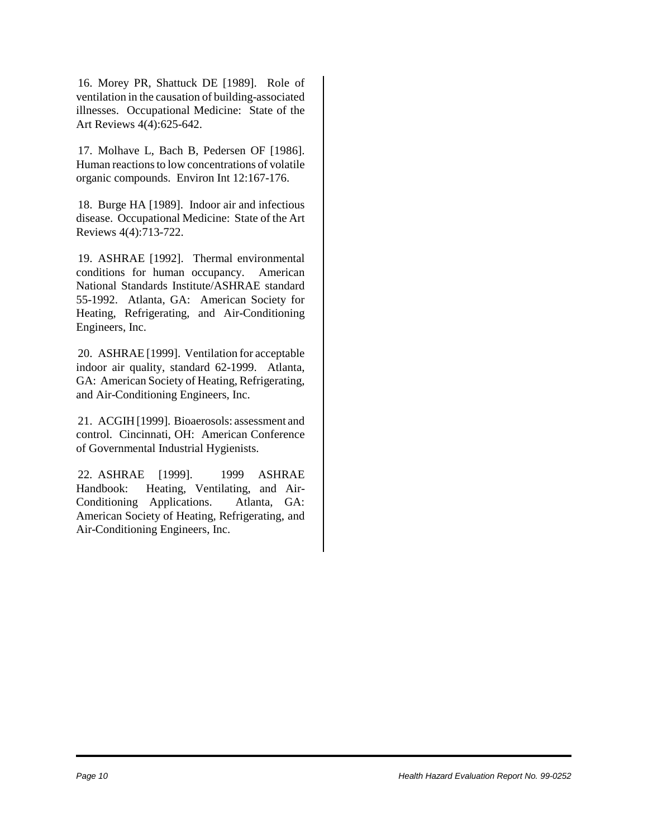16. Morey PR, Shattuck DE [1989]. Role of ventilation in the causation of building-associated illnesses. Occupational Medicine: State of the Art Reviews 4(4):625-642.

17. Molhave L, Bach B, Pedersen OF [1986]. Human reactions to low concentrations of volatile organic compounds. Environ Int 12:167-176.

18. Burge HA [1989]. Indoor air and infectious disease. Occupational Medicine: State of the Art Reviews 4(4):713-722.

19. ASHRAE [1992]. Thermal environmental conditions for human occupancy. American National Standards Institute/ASHRAE standard 55-1992. Atlanta, GA: American Society for Heating, Refrigerating, and Air-Conditioning Engineers, Inc.

20. ASHRAE [1999]. Ventilation for acceptable indoor air quality, standard 62-1999. Atlanta, GA: American Society of Heating, Refrigerating, and Air-Conditioning Engineers, Inc.

21. ACGIH [1999]. Bioaerosols: assessment and control. Cincinnati, OH: American Conference of Governmental Industrial Hygienists.

22. ASHRAE [1999]. 1999 ASHRAE Handbook: Heating, Ventilating, and Air-Conditioning Applications. Atlanta, GA: American Society of Heating, Refrigerating, and Air-Conditioning Engineers, Inc.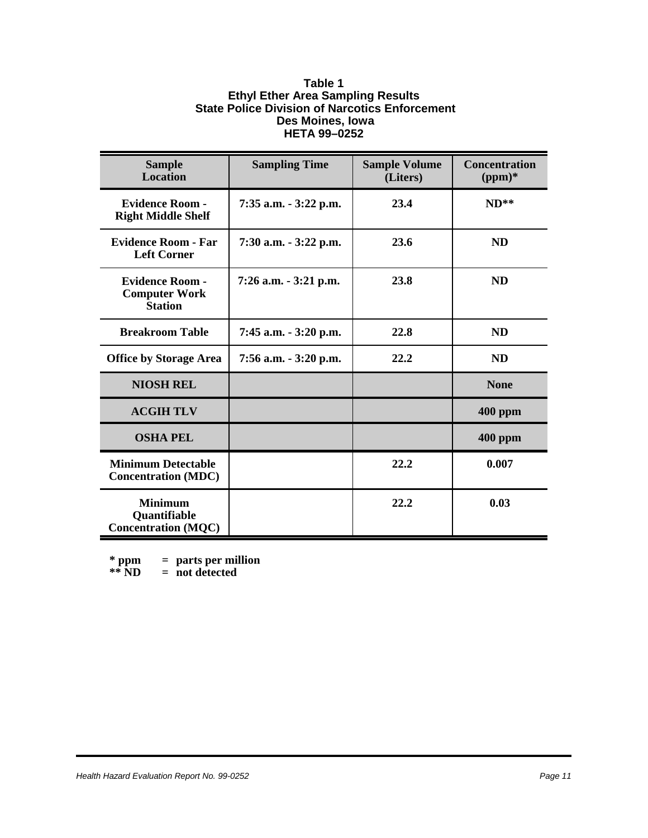#### **Table 1 Ethyl Ether Area Sampling Results State Police Division of Narcotics Enforcement Des Moines, Iowa HETA 99–0252**

| <b>Sample</b><br><b>Location</b>                                    | <b>Sampling Time</b>     | <b>Sample Volume</b><br>(Liters) | <b>Concentration</b><br>$(ppm)*$ |  |
|---------------------------------------------------------------------|--------------------------|----------------------------------|----------------------------------|--|
| <b>Evidence Room -</b><br><b>Right Middle Shelf</b>                 | 7:35 a.m. - 3:22 p.m.    | 23.4                             | $ND**$                           |  |
| <b>Evidence Room - Far</b><br><b>Left Corner</b>                    | 7:30 a.m. - 3:22 p.m.    | 23.6<br><b>ND</b>                |                                  |  |
| <b>Evidence Room -</b><br><b>Computer Work</b><br><b>Station</b>    | $7:26$ a.m. $-3:21$ p.m. | 23.8                             | <b>ND</b>                        |  |
| <b>Breakroom Table</b>                                              | 7:45 a.m. - 3:20 p.m.    | 22.8                             | <b>ND</b>                        |  |
| <b>Office by Storage Area</b>                                       | 7:56 a.m. - 3:20 p.m.    | 22.2                             | <b>ND</b>                        |  |
| <b>NIOSH REL</b>                                                    |                          |                                  | <b>None</b>                      |  |
| <b>ACGIH TLV</b>                                                    |                          |                                  | <b>400 ppm</b>                   |  |
| <b>OSHA PEL</b>                                                     |                          |                                  | $400$ ppm                        |  |
| <b>Minimum Detectable</b><br><b>Concentration (MDC)</b>             |                          | 22.2                             | 0.007                            |  |
| <b>Minimum</b><br><b>Quantifiable</b><br><b>Concentration (MQC)</b> |                          | 22.2                             | 0.03                             |  |

**\* ppm = parts per million**

**\*\* ND = not detected**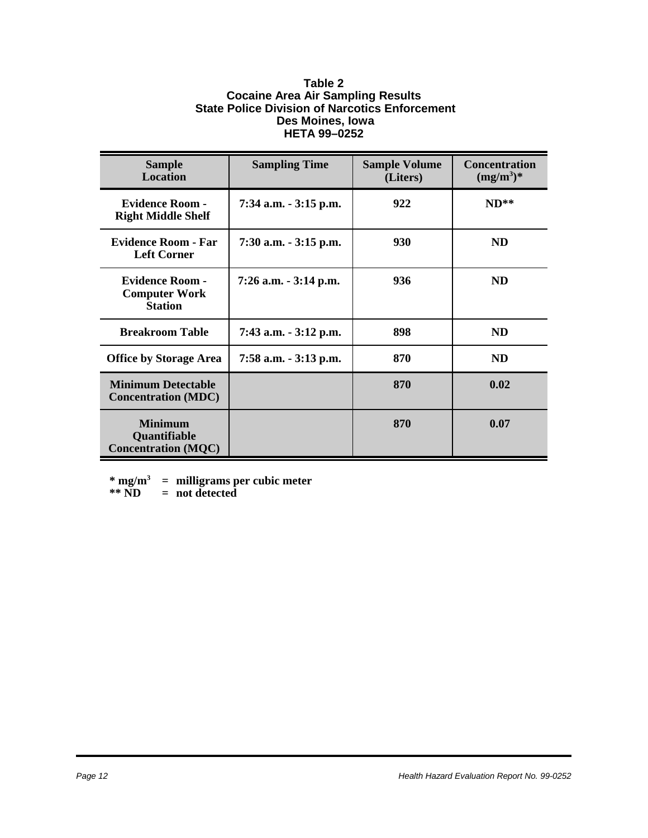#### **Table 2 Cocaine Area Air Sampling Results State Police Division of Narcotics Enforcement Des Moines, Iowa HETA 99–0252**

| <b>Sample</b><br><b>Location</b>                                    | <b>Sampling Time</b>     | <b>Sample Volume</b><br>(Liters) | <b>Concentration</b><br>$(mg/m^3)^*$ |  |
|---------------------------------------------------------------------|--------------------------|----------------------------------|--------------------------------------|--|
| <b>Evidence Room -</b><br><b>Right Middle Shelf</b>                 | 7:34 a.m. - 3:15 p.m.    | 922                              | $ND**$                               |  |
| <b>Evidence Room - Far</b><br><b>Left Corner</b>                    | $7:30$ a.m. $-3:15$ p.m. | 930                              | <b>ND</b>                            |  |
| <b>Evidence Room -</b><br><b>Computer Work</b><br><b>Station</b>    | $7:26$ a.m. $-3:14$ p.m. | 936                              | <b>ND</b>                            |  |
| <b>Breakroom Table</b>                                              | 7:43 a.m. - 3:12 p.m.    | 898                              | <b>ND</b>                            |  |
| <b>Office by Storage Area</b>                                       | 7:58 a.m. - 3:13 p.m.    | 870                              | <b>ND</b>                            |  |
| <b>Minimum Detectable</b><br><b>Concentration (MDC)</b>             |                          | 870                              | 0.02                                 |  |
| <b>Minimum</b><br><b>Quantifiable</b><br><b>Concentration (MQC)</b> |                          | 870                              | 0.07                                 |  |

**\* mg/m3 = milligrams per cubic meter**

**\*\* ND = not detected**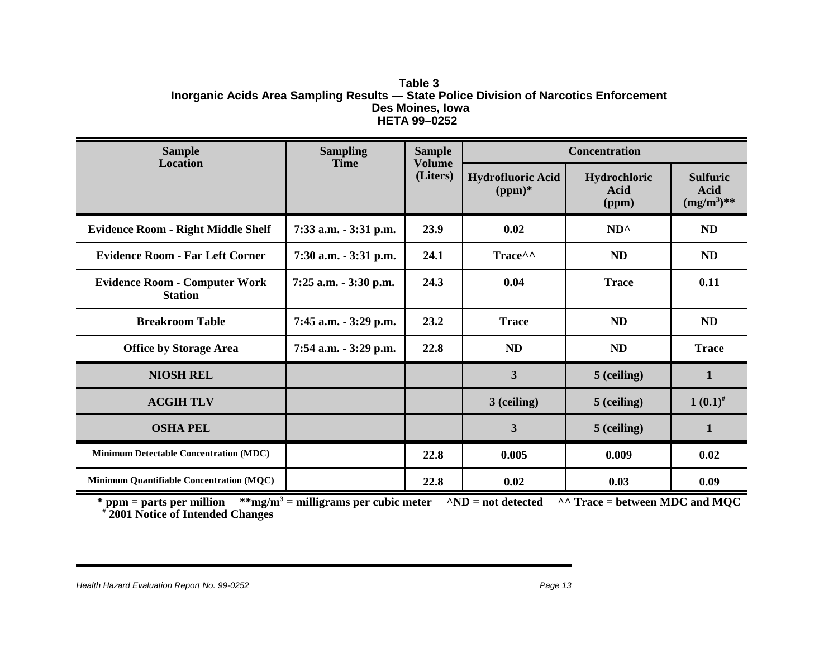#### **Table 3 Inorganic Acids Area Sampling Results — State Police Division of Narcotics Enforcement Des Moines, Iowa HETA 99–0252**

| <b>Sample</b>                                          | <b>Sampling</b>       | <b>Sample</b>             | <b>Concentration</b>                 |                               |                                          |
|--------------------------------------------------------|-----------------------|---------------------------|--------------------------------------|-------------------------------|------------------------------------------|
| Location                                               | <b>Time</b>           | <b>Volume</b><br>(Liters) | <b>Hydrofluoric Acid</b><br>$(ppm)*$ | Hydrochloric<br>Acid<br>(ppm) | <b>Sulfuric</b><br>Acid<br>$(mg/m^3)$ ** |
| <b>Evidence Room - Right Middle Shelf</b>              | 7:33 a.m. - 3:31 p.m. | 23.9                      | 0.02                                 | $ND^{\wedge}$                 | <b>ND</b>                                |
| <b>Evidence Room - Far Left Corner</b>                 | 7:30 a.m. - 3:31 p.m. | 24.1                      | Trace^^                              | <b>ND</b>                     | <b>ND</b>                                |
| <b>Evidence Room - Computer Work</b><br><b>Station</b> | 7:25 a.m. - 3:30 p.m. | 24.3                      | 0.04                                 | <b>Trace</b>                  | 0.11                                     |
| <b>Breakroom Table</b>                                 | 7:45 a.m. - 3:29 p.m. | 23.2                      | <b>Trace</b>                         | <b>ND</b>                     | ND                                       |
| <b>Office by Storage Area</b>                          | 7:54 a.m. - 3:29 p.m. | 22.8                      | ND                                   | ND                            | <b>Trace</b>                             |
| <b>NIOSH REL</b>                                       |                       |                           | $\overline{\mathbf{3}}$              | 5 (ceiling)                   | $\mathbf{1}$                             |
| <b>ACGIH TLV</b>                                       |                       |                           | 3 (ceiling)                          | 5 (ceiling)                   | $1(0.1)^{#}$                             |
| <b>OSHA PEL</b>                                        |                       |                           | 3                                    | 5 (ceiling)                   | 1                                        |
| <b>Minimum Detectable Concentration (MDC)</b>          |                       | 22.8                      | 0.005                                | 0.009                         | 0.02                                     |
| Minimum Quantifiable Concentration (MQC)               |                       | 22.8                      | 0.02                                 | 0.03                          | 0.09                                     |

**\* ppm = parts per million \*\*mg/m3 = milligrams per cubic meter ^ND = not detected ^^ Trace = between MDC and MQC** # **2001 Notice of Intended Changes**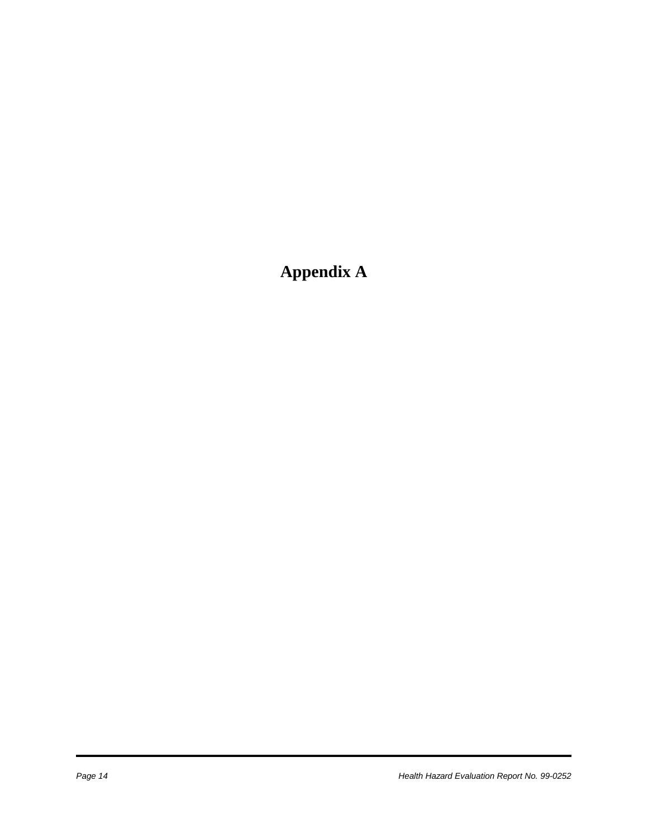# **Appendix A**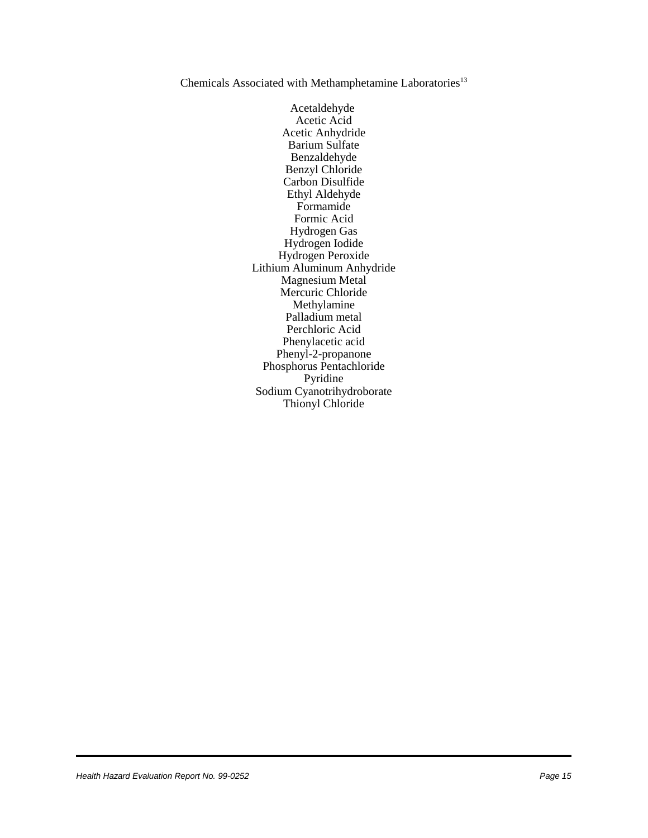#### Chemicals Associated with Methamphetamine Laboratories<sup>13</sup>

Acetaldehyde Acetic Acid Acetic Anhydride Barium Sulfate Benzaldehyde Benzyl Chloride Carbon Disulfide Ethyl Aldehyde Formamide Formic Acid Hydrogen Gas Hydrogen Iodide Hydrogen Peroxide Lithium Aluminum Anhydride Magnesium Metal Mercuric Chloride Methylamine Palladium metal Perchloric Acid Phenylacetic acid Phenyl-2-propanone Phosphorus Pentachloride Pyridine Sodium Cyanotrihydroborate Thionyl Chloride